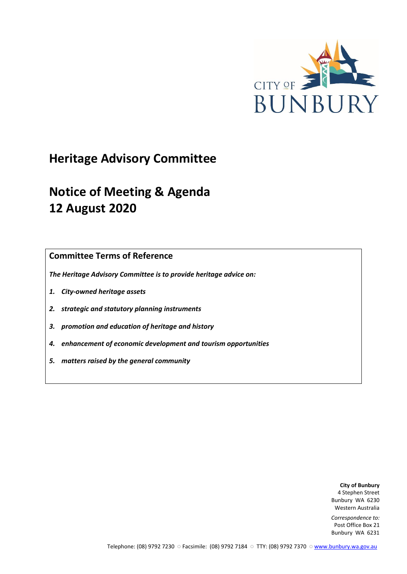

# **Heritage Advisory Committee**

# **Notice of Meeting & Agenda 12 August 2020**

**Committee Terms of Reference**

*The Heritage Advisory Committee is to provide heritage advice on:*

- *1. City-owned heritage assets*
- *2. strategic and statutory planning instruments*
- *3. promotion and education of heritage and history*
- *4. enhancement of economic development and tourism opportunities*
- *5. matters raised by the general community*

**City of Bunbury** 4 Stephen Street Bunbury WA 6230 Western Australia

*Correspondence to:* Post Office Box 21 Bunbury WA 6231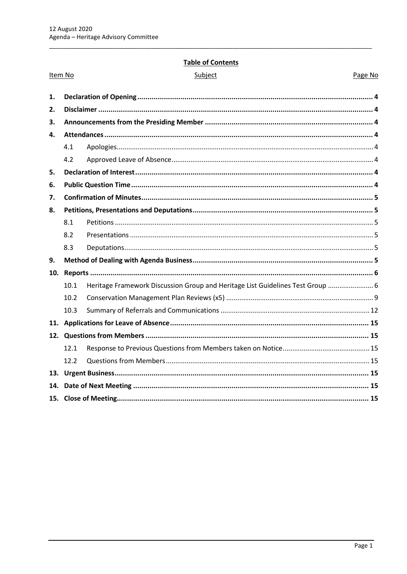Item No

# **Table of Contents**

Page No

| 1.  |      |                                                                                |  |
|-----|------|--------------------------------------------------------------------------------|--|
| 2.  |      |                                                                                |  |
| 3.  |      |                                                                                |  |
| 4.  |      |                                                                                |  |
|     | 4.1  |                                                                                |  |
|     | 4.2  |                                                                                |  |
| 5.  |      |                                                                                |  |
| 6.  |      |                                                                                |  |
| 7.  |      |                                                                                |  |
| 8.  |      |                                                                                |  |
|     | 8.1  |                                                                                |  |
|     | 8.2  |                                                                                |  |
|     | 8.3  |                                                                                |  |
| 9.  |      |                                                                                |  |
| 10. |      |                                                                                |  |
|     | 10.1 | Heritage Framework Discussion Group and Heritage List Guidelines Test Group  6 |  |
|     | 10.2 |                                                                                |  |
|     | 10.3 |                                                                                |  |
| 11. |      |                                                                                |  |
| 12. |      |                                                                                |  |
|     | 12.1 |                                                                                |  |
|     | 12.2 |                                                                                |  |
| 13. |      |                                                                                |  |
| 14. |      |                                                                                |  |
|     |      |                                                                                |  |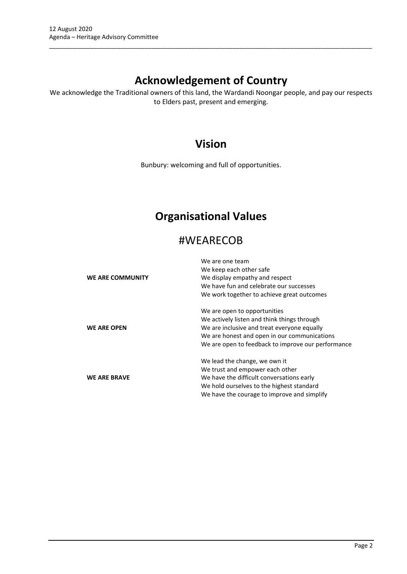# **Acknowledgement of Country**

\_\_\_\_\_\_\_\_\_\_\_\_\_\_\_\_\_\_\_\_\_\_\_\_\_\_\_\_\_\_\_\_\_\_\_\_\_\_\_\_\_\_\_\_\_\_\_\_\_\_\_\_\_\_\_\_\_\_\_\_\_\_\_\_\_\_\_\_\_\_\_\_\_\_\_\_\_\_\_\_\_\_\_\_\_\_\_\_\_\_\_\_\_\_\_

We acknowledge the Traditional owners of this land, the Wardandi Noongar people, and pay our respects to Elders past, present and emerging.

# **Vision**

Bunbury: welcoming and full of opportunities.

# **Organisational Values**

# #WEARECOB

|                     | We are one team                                    |
|---------------------|----------------------------------------------------|
|                     | We keep each other safe                            |
| WE ARE COMMUNITY    | We display empathy and respect                     |
|                     | We have fun and celebrate our successes            |
|                     | We work together to achieve great outcomes         |
|                     | We are open to opportunities                       |
|                     | We actively listen and think things through        |
| <b>WE ARE OPEN</b>  | We are inclusive and treat everyone equally        |
|                     | We are honest and open in our communications       |
|                     | We are open to feedback to improve our performance |
|                     | We lead the change, we own it                      |
|                     | We trust and empower each other                    |
| <b>WE ARE BRAVE</b> | We have the difficult conversations early          |
|                     | We hold ourselves to the highest standard          |
|                     | We have the courage to improve and simplify        |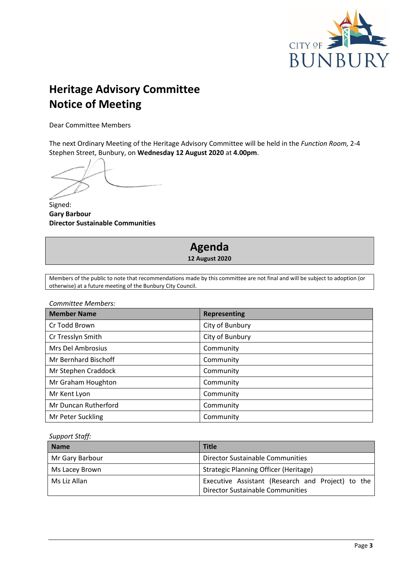

# **Heritage Advisory Committee Notice of Meeting**

Dear Committee Members

The next Ordinary Meeting of the Heritage Advisory Committee will be held in the *Function Room,* 2-4 Stephen Street, Bunbury, on **Wednesday 12 August 2020** at **4.00pm**.

Signed: **Gary Barbour Director Sustainable Communities**

# **Agenda 12 August 2020**

Members of the public to note that recommendations made by this committee are not final and will be subject to adoption (or otherwise) at a future meeting of the Bunbury City Council.

*Committee Members:*

| <b>Member Name</b>          | <b>Representing</b> |
|-----------------------------|---------------------|
| Cr Todd Brown               | City of Bunbury     |
| Cr Tresslyn Smith           | City of Bunbury     |
| Mrs Del Ambrosius           | Community           |
| <b>Mr Bernhard Bischoff</b> | Community           |
| Mr Stephen Craddock         | Community           |
| Mr Graham Houghton          | Community           |
| Mr Kent Lyon                | Community           |
| Mr Duncan Rutherford        | Community           |
| Mr Peter Suckling           | Community           |

*Support Staff:*

| <b>Name</b>     | <b>Title</b>                                                                          |
|-----------------|---------------------------------------------------------------------------------------|
| Mr Gary Barbour | Director Sustainable Communities                                                      |
| Ms Lacey Brown  | Strategic Planning Officer (Heritage)                                                 |
| Ms Liz Allan    | Executive Assistant (Research and Project) to the<br>Director Sustainable Communities |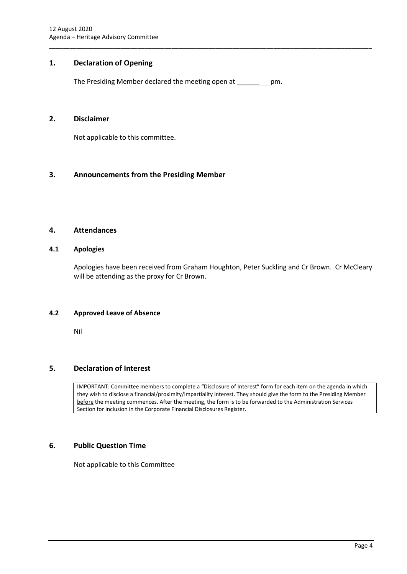# <span id="page-4-0"></span>**1. Declaration of Opening**

The Presiding Member declared the meeting open at \_\_\_\_\_\_ pm.

\_\_\_\_\_\_\_\_\_\_\_\_\_\_\_\_\_\_\_\_\_\_\_\_\_\_\_\_\_\_\_\_\_\_\_\_\_\_\_\_\_\_\_\_\_\_\_\_\_\_\_\_\_\_\_\_\_\_\_\_\_\_\_\_\_\_\_\_\_\_\_\_\_\_\_\_\_\_\_\_\_\_\_\_\_\_\_\_\_\_\_\_\_\_\_

# <span id="page-4-1"></span>**2. Disclaimer**

Not applicable to this committee.

# <span id="page-4-2"></span>**3. Announcements from the Presiding Member**

# <span id="page-4-3"></span>**4. Attendances**

#### <span id="page-4-4"></span>**4.1 Apologies**

Apologies have been received from Graham Houghton, Peter Suckling and Cr Brown. Cr McCleary will be attending as the proxy for Cr Brown.

#### <span id="page-4-5"></span>**4.2 Approved Leave of Absence**

Nil

# <span id="page-4-6"></span>**5. Declaration of Interest**

IMPORTANT: Committee members to complete a "Disclosure of Interest" form for each item on the agenda in which they wish to disclose a financial/proximity/impartiality interest. They should give the form to the Presiding Member before the meeting commences. After the meeting, the form is to be forwarded to the Administration Services Section for inclusion in the Corporate Financial Disclosures Register.

# <span id="page-4-7"></span>**6. Public Question Time**

Not applicable to this Committee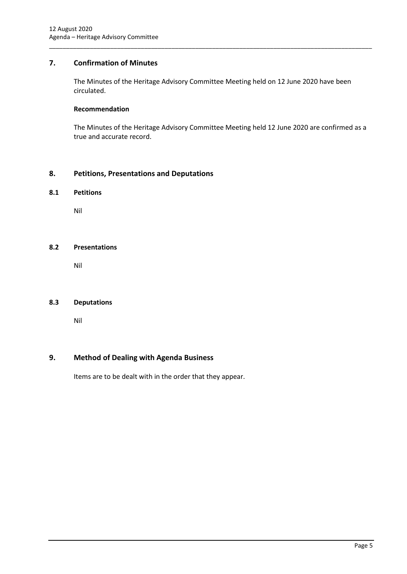# <span id="page-5-0"></span>**7. Confirmation of Minutes**

The Minutes of the Heritage Advisory Committee Meeting held on 12 June 2020 have been circulated.

\_\_\_\_\_\_\_\_\_\_\_\_\_\_\_\_\_\_\_\_\_\_\_\_\_\_\_\_\_\_\_\_\_\_\_\_\_\_\_\_\_\_\_\_\_\_\_\_\_\_\_\_\_\_\_\_\_\_\_\_\_\_\_\_\_\_\_\_\_\_\_\_\_\_\_\_\_\_\_\_\_\_\_\_\_\_\_\_\_\_\_\_\_\_\_

#### **Recommendation**

The Minutes of the Heritage Advisory Committee Meeting held 12 June 2020 are confirmed as a true and accurate record.

### <span id="page-5-1"></span>**8. Petitions, Presentations and Deputations**

#### <span id="page-5-2"></span>**8.1 Petitions**

Nil

#### <span id="page-5-3"></span>**8.2 Presentations**

Nil

#### <span id="page-5-4"></span>**8.3 Deputations**

Nil

#### <span id="page-5-5"></span>**9. Method of Dealing with Agenda Business**

Items are to be dealt with in the order that they appear.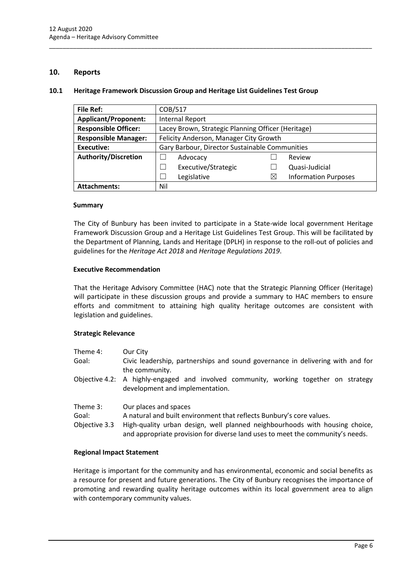### <span id="page-6-0"></span>**10. Reports**

#### <span id="page-6-1"></span>**10.1 Heritage Framework Discussion Group and Heritage List Guidelines Test Group**

\_\_\_\_\_\_\_\_\_\_\_\_\_\_\_\_\_\_\_\_\_\_\_\_\_\_\_\_\_\_\_\_\_\_\_\_\_\_\_\_\_\_\_\_\_\_\_\_\_\_\_\_\_\_\_\_\_\_\_\_\_\_\_\_\_\_\_\_\_\_\_\_\_\_\_\_\_\_\_\_\_\_\_\_\_\_\_\_\_\_\_\_\_\_\_

| <b>File Ref:</b>            | COB/517                                            |   |                             |
|-----------------------------|----------------------------------------------------|---|-----------------------------|
| <b>Applicant/Proponent:</b> | <b>Internal Report</b>                             |   |                             |
| <b>Responsible Officer:</b> | Lacey Brown, Strategic Planning Officer (Heritage) |   |                             |
| <b>Responsible Manager:</b> | Felicity Anderson, Manager City Growth             |   |                             |
| Executive:                  | Gary Barbour, Director Sustainable Communities     |   |                             |
| <b>Authority/Discretion</b> | Advocacy                                           |   | Review                      |
|                             | Executive/Strategic                                |   | Quasi-Judicial              |
|                             | Legislative                                        | ⋉ | <b>Information Purposes</b> |
| <b>Attachments:</b>         | Nil                                                |   |                             |

#### **Summary**

The City of Bunbury has been invited to participate in a State-wide local government Heritage Framework Discussion Group and a Heritage List Guidelines Test Group. This will be facilitated by the Department of Planning, Lands and Heritage (DPLH) in response to the roll-out of policies and guidelines for the *Heritage Act 2018* and *Heritage Regulations 2019*.

#### **Executive Recommendation**

That the Heritage Advisory Committee (HAC) note that the Strategic Planning Officer (Heritage) will participate in these discussion groups and provide a summary to HAC members to ensure efforts and commitment to attaining high quality heritage outcomes are consistent with legislation and guidelines.

#### **Strategic Relevance**

| Theme 4:                           | Our City                                                                                                                                                                                                                                                       |
|------------------------------------|----------------------------------------------------------------------------------------------------------------------------------------------------------------------------------------------------------------------------------------------------------------|
| Goal:                              | Civic leadership, partnerships and sound governance in delivering with and for<br>the community.                                                                                                                                                               |
|                                    | Objective 4.2: A highly-engaged and involved community, working together on strategy<br>development and implementation.                                                                                                                                        |
| Theme 3:<br>Goal:<br>Objective 3.3 | Our places and spaces<br>A natural and built environment that reflects Bunbury's core values.<br>High-quality urban design, well planned neighbourhoods with housing choice,<br>and appropriate provision for diverse land uses to meet the community's needs. |

#### **Regional Impact Statement**

Heritage is important for the community and has environmental, economic and social benefits as a resource for present and future generations. The City of Bunbury recognises the importance of promoting and rewarding quality heritage outcomes within its local government area to align with contemporary community values.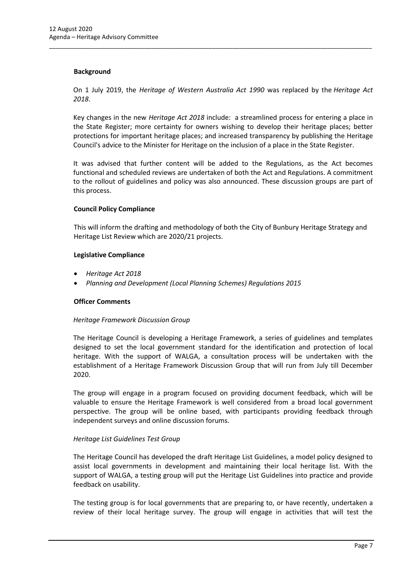#### **Background**

On 1 July 2019, the *Heritage of Western Australia Act 1990* was replaced by the *Heritage Act 2018*.

\_\_\_\_\_\_\_\_\_\_\_\_\_\_\_\_\_\_\_\_\_\_\_\_\_\_\_\_\_\_\_\_\_\_\_\_\_\_\_\_\_\_\_\_\_\_\_\_\_\_\_\_\_\_\_\_\_\_\_\_\_\_\_\_\_\_\_\_\_\_\_\_\_\_\_\_\_\_\_\_\_\_\_\_\_\_\_\_\_\_\_\_\_\_\_

Key changes in the new *Heritage Act 2018* include: a streamlined process for entering a place in the State Register; more certainty for owners wishing to develop their heritage places; better protections for important heritage places; and increased transparency by publishing the Heritage Council's advice to the Minister for Heritage on the inclusion of a place in the State Register.

It was advised that further content will be added to the Regulations, as the Act becomes functional and scheduled reviews are undertaken of both the Act and Regulations. A commitment to the rollout of guidelines and policy was also announced. These discussion groups are part of this process.

#### **Council Policy Compliance**

This will inform the drafting and methodology of both the City of Bunbury Heritage Strategy and Heritage List Review which are 2020/21 projects.

#### **Legislative Compliance**

- *Heritage Act 2018*
- *Planning and Development (Local Planning Schemes) Regulations 2015*

#### **Officer Comments**

#### *Heritage Framework Discussion Group*

The Heritage Council is developing a Heritage Framework, a series of guidelines and templates designed to set the local government standard for the identification and protection of local heritage. With the support of WALGA, a consultation process will be undertaken with the establishment of a Heritage Framework Discussion Group that will run from July till December 2020.

The group will engage in a program focused on providing document feedback, which will be valuable to ensure the Heritage Framework is well considered from a broad local government perspective. The group will be online based, with participants providing feedback through independent surveys and online discussion forums.

# *Heritage List Guidelines Test Group*

The Heritage Council has developed the draft Heritage List Guidelines, a model policy designed to assist local governments in development and maintaining their local heritage list. With the support of WALGA, a testing group will put the Heritage List Guidelines into practice and provide feedback on usability.

The testing group is for local governments that are preparing to, or have recently, undertaken a review of their local heritage survey. The group will engage in activities that will test the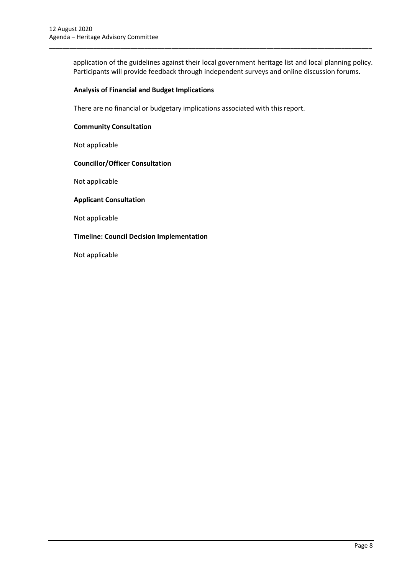application of the guidelines against their local government heritage list and local planning policy. Participants will provide feedback through independent surveys and online discussion forums.

\_\_\_\_\_\_\_\_\_\_\_\_\_\_\_\_\_\_\_\_\_\_\_\_\_\_\_\_\_\_\_\_\_\_\_\_\_\_\_\_\_\_\_\_\_\_\_\_\_\_\_\_\_\_\_\_\_\_\_\_\_\_\_\_\_\_\_\_\_\_\_\_\_\_\_\_\_\_\_\_\_\_\_\_\_\_\_\_\_\_\_\_\_\_\_

#### **Analysis of Financial and Budget Implications**

There are no financial or budgetary implications associated with this report.

#### **Community Consultation**

Not applicable

#### **Councillor/Officer Consultation**

Not applicable

#### **Applicant Consultation**

Not applicable

#### **Timeline: Council Decision Implementation**

Not applicable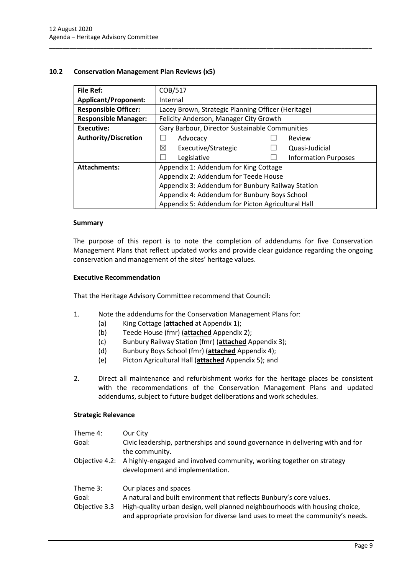### <span id="page-9-0"></span>**10.2 Conservation Management Plan Reviews (x5)**

| <b>File Ref:</b>            | COB/517                                            |  |                             |  |
|-----------------------------|----------------------------------------------------|--|-----------------------------|--|
| <b>Applicant/Proponent:</b> | Internal                                           |  |                             |  |
| <b>Responsible Officer:</b> | Lacey Brown, Strategic Planning Officer (Heritage) |  |                             |  |
| <b>Responsible Manager:</b> | Felicity Anderson, Manager City Growth             |  |                             |  |
| Executive:                  | Gary Barbour, Director Sustainable Communities     |  |                             |  |
| <b>Authority/Discretion</b> | Advocacy                                           |  | Review                      |  |
|                             | ⊠<br>Executive/Strategic                           |  | Quasi-Judicial              |  |
|                             | Legislative                                        |  | <b>Information Purposes</b> |  |
| <b>Attachments:</b>         | Appendix 1: Addendum for King Cottage              |  |                             |  |
|                             | Appendix 2: Addendum for Teede House               |  |                             |  |
|                             | Appendix 3: Addendum for Bunbury Railway Station   |  |                             |  |
|                             | Appendix 4: Addendum for Bunbury Boys School       |  |                             |  |
|                             | Appendix 5: Addendum for Picton Agricultural Hall  |  |                             |  |

\_\_\_\_\_\_\_\_\_\_\_\_\_\_\_\_\_\_\_\_\_\_\_\_\_\_\_\_\_\_\_\_\_\_\_\_\_\_\_\_\_\_\_\_\_\_\_\_\_\_\_\_\_\_\_\_\_\_\_\_\_\_\_\_\_\_\_\_\_\_\_\_\_\_\_\_\_\_\_\_\_\_\_\_\_\_\_\_\_\_\_\_\_\_\_

#### **Summary**

The purpose of this report is to note the completion of addendums for five Conservation Management Plans that reflect updated works and provide clear guidance regarding the ongoing conservation and management of the sites' heritage values.

#### **Executive Recommendation**

That the Heritage Advisory Committee recommend that Council:

- 1. Note the addendums for the Conservation Management Plans for:
	- (a) King Cottage (**attached** at Appendix 1);
	- (b) Teede House (fmr) (**attached** Appendix 2);
	- (c) Bunbury Railway Station (fmr) (**attached** Appendix 3);
	- (d) Bunbury Boys School (fmr) (**attached** Appendix 4);
	- (e) Picton Agricultural Hall (**attached** Appendix 5); and
- 2. Direct all maintenance and refurbishment works for the heritage places be consistent with the recommendations of the Conservation Management Plans and updated addendums, subject to future budget deliberations and work schedules.

#### **Strategic Relevance**

| Theme 4:                           | Our City                                                                                                                                                                     |
|------------------------------------|------------------------------------------------------------------------------------------------------------------------------------------------------------------------------|
| Goal:                              | Civic leadership, partnerships and sound governance in delivering with and for<br>the community.                                                                             |
|                                    | Objective 4.2: A highly-engaged and involved community, working together on strategy<br>development and implementation.                                                      |
| Theme 3:<br>Goal:<br>Objective 3.3 | Our places and spaces<br>A natural and built environment that reflects Bunbury's core values.<br>High-quality urban design, well planned neighbourhoods with housing choice, |

and appropriate provision for diverse land uses to meet the community's needs.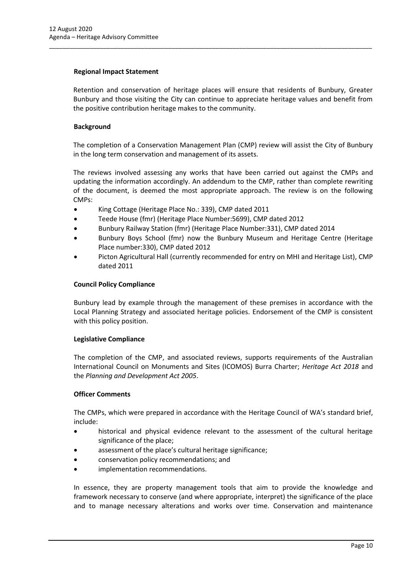#### **Regional Impact Statement**

Retention and conservation of heritage places will ensure that residents of Bunbury, Greater Bunbury and those visiting the City can continue to appreciate heritage values and benefit from the positive contribution heritage makes to the community.

\_\_\_\_\_\_\_\_\_\_\_\_\_\_\_\_\_\_\_\_\_\_\_\_\_\_\_\_\_\_\_\_\_\_\_\_\_\_\_\_\_\_\_\_\_\_\_\_\_\_\_\_\_\_\_\_\_\_\_\_\_\_\_\_\_\_\_\_\_\_\_\_\_\_\_\_\_\_\_\_\_\_\_\_\_\_\_\_\_\_\_\_\_\_\_

### **Background**

The completion of a Conservation Management Plan (CMP) review will assist the City of Bunbury in the long term conservation and management of its assets.

The reviews involved assessing any works that have been carried out against the CMPs and updating the information accordingly. An addendum to the CMP, rather than complete rewriting of the document, is deemed the most appropriate approach. The review is on the following CMPs:

- King Cottage (Heritage Place No.: 339), CMP dated 2011
- Teede House (fmr) (Heritage Place Number:5699), CMP dated 2012
- Bunbury Railway Station (fmr) (Heritage Place Number:331), CMP dated 2014
- Bunbury Boys School (fmr) now the Bunbury Museum and Heritage Centre (Heritage Place number:330), CMP dated 2012
- Picton Agricultural Hall (currently recommended for entry on MHI and Heritage List), CMP dated 2011

#### **Council Policy Compliance**

Bunbury lead by example through the management of these premises in accordance with the Local Planning Strategy and associated heritage policies. Endorsement of the CMP is consistent with this policy position.

#### **Legislative Compliance**

The completion of the CMP, and associated reviews, supports requirements of the Australian International Council on Monuments and Sites (ICOMOS) Burra Charter; *Heritage Act 2018* and the *Planning and Development Act 2005*.

#### **Officer Comments**

The CMPs, which were prepared in accordance with the Heritage Council of WA's standard brief, include:

- historical and physical evidence relevant to the assessment of the cultural heritage significance of the place;
- assessment of the place's cultural heritage significance;
- conservation policy recommendations; and
- implementation recommendations.

In essence, they are property management tools that aim to provide the knowledge and framework necessary to conserve (and where appropriate, interpret) the significance of the place and to manage necessary alterations and works over time. Conservation and maintenance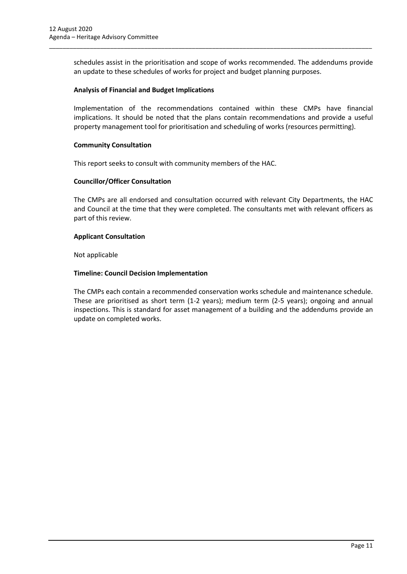schedules assist in the prioritisation and scope of works recommended. The addendums provide an update to these schedules of works for project and budget planning purposes.

\_\_\_\_\_\_\_\_\_\_\_\_\_\_\_\_\_\_\_\_\_\_\_\_\_\_\_\_\_\_\_\_\_\_\_\_\_\_\_\_\_\_\_\_\_\_\_\_\_\_\_\_\_\_\_\_\_\_\_\_\_\_\_\_\_\_\_\_\_\_\_\_\_\_\_\_\_\_\_\_\_\_\_\_\_\_\_\_\_\_\_\_\_\_\_

#### **Analysis of Financial and Budget Implications**

Implementation of the recommendations contained within these CMPs have financial implications. It should be noted that the plans contain recommendations and provide a useful property management tool for prioritisation and scheduling of works (resources permitting).

#### **Community Consultation**

This report seeks to consult with community members of the HAC.

#### **Councillor/Officer Consultation**

The CMPs are all endorsed and consultation occurred with relevant City Departments, the HAC and Council at the time that they were completed. The consultants met with relevant officers as part of this review.

#### **Applicant Consultation**

Not applicable

#### **Timeline: Council Decision Implementation**

The CMPs each contain a recommended conservation works schedule and maintenance schedule. These are prioritised as short term (1-2 years); medium term (2-5 years); ongoing and annual inspections. This is standard for asset management of a building and the addendums provide an update on completed works.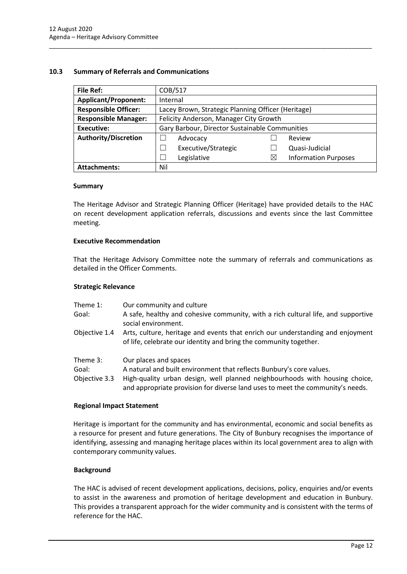#### <span id="page-12-0"></span>**10.3 Summary of Referrals and Communications**

| <b>File Ref:</b>            | COB/517                                            |   |                             |
|-----------------------------|----------------------------------------------------|---|-----------------------------|
| <b>Applicant/Proponent:</b> | Internal                                           |   |                             |
| <b>Responsible Officer:</b> | Lacey Brown, Strategic Planning Officer (Heritage) |   |                             |
| <b>Responsible Manager:</b> | Felicity Anderson, Manager City Growth             |   |                             |
| Executive:                  | Gary Barbour, Director Sustainable Communities     |   |                             |
| <b>Authority/Discretion</b> | Advocacy                                           |   | Review                      |
|                             | Executive/Strategic<br>$\blacksquare$              |   | Quasi-Judicial              |
|                             | Legislative<br>$\overline{\phantom{a}}$            | Χ | <b>Information Purposes</b> |
| <b>Attachments:</b>         | Nil                                                |   |                             |

\_\_\_\_\_\_\_\_\_\_\_\_\_\_\_\_\_\_\_\_\_\_\_\_\_\_\_\_\_\_\_\_\_\_\_\_\_\_\_\_\_\_\_\_\_\_\_\_\_\_\_\_\_\_\_\_\_\_\_\_\_\_\_\_\_\_\_\_\_\_\_\_\_\_\_\_\_\_\_\_\_\_\_\_\_\_\_\_\_\_\_\_\_\_\_

#### **Summary**

The Heritage Advisor and Strategic Planning Officer (Heritage) have provided details to the HAC on recent development application referrals, discussions and events since the last Committee meeting.

#### **Executive Recommendation**

That the Heritage Advisory Committee note the summary of referrals and communications as detailed in the Officer Comments.

#### **Strategic Relevance**

| Theme 1:<br>Goal:                  | Our community and culture<br>A safe, healthy and cohesive community, with a rich cultural life, and supportive<br>social environment.                                                                                                                          |
|------------------------------------|----------------------------------------------------------------------------------------------------------------------------------------------------------------------------------------------------------------------------------------------------------------|
| Objective 1.4                      | Arts, culture, heritage and events that enrich our understanding and enjoyment<br>of life, celebrate our identity and bring the community together.                                                                                                            |
| Theme 3:<br>Goal:<br>Objective 3.3 | Our places and spaces<br>A natural and built environment that reflects Bunbury's core values.<br>High-quality urban design, well planned neighbourhoods with housing choice,<br>and appropriate provision for diverse land uses to meet the community's needs. |

#### **Regional Impact Statement**

Heritage is important for the community and has environmental, economic and social benefits as a resource for present and future generations. The City of Bunbury recognises the importance of identifying, assessing and managing heritage places within its local government area to align with contemporary community values.

#### **Background**

The HAC is advised of recent development applications, decisions, policy, enquiries and/or events to assist in the awareness and promotion of heritage development and education in Bunbury. This provides a transparent approach for the wider community and is consistent with the terms of reference for the HAC.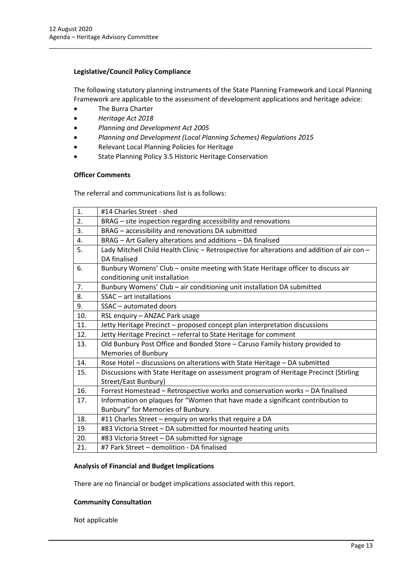#### **Legislative/Council Policy Compliance**

The following statutory planning instruments of the State Planning Framework and Local Planning Framework are applicable to the assessment of development applications and heritage advice:

\_\_\_\_\_\_\_\_\_\_\_\_\_\_\_\_\_\_\_\_\_\_\_\_\_\_\_\_\_\_\_\_\_\_\_\_\_\_\_\_\_\_\_\_\_\_\_\_\_\_\_\_\_\_\_\_\_\_\_\_\_\_\_\_\_\_\_\_\_\_\_\_\_\_\_\_\_\_\_\_\_\_\_\_\_\_\_\_\_\_\_\_\_\_\_

- The Burra Charter
- *Heritage Act 2018*
- *Planning and Development Act 2005*
- *Planning and Development (Local Planning Schemes) Regulations 2015*
- Relevant Local Planning Policies for Heritage
- State Planning Policy 3.5 Historic Heritage Conservation

#### **Officer Comments**

The referral and communications list is as follows:

| 1.  | #14 Charles Street - shed                                                                   |
|-----|---------------------------------------------------------------------------------------------|
| 2.  | BRAG – site inspection regarding accessibility and renovations                              |
| 3.  | BRAG - accessibility and renovations DA submitted                                           |
| 4.  | BRAG - Art Gallery alterations and additions - DA finalised                                 |
| 5.  | Lady Mitchell Child Health Clinic - Retrospective for alterations and addition of air con - |
|     | DA finalised                                                                                |
| 6.  | Bunbury Womens' Club - onsite meeting with State Heritage officer to discuss air            |
|     | conditioning unit installation                                                              |
| 7.  | Bunbury Womens' Club - air conditioning unit installation DA submitted                      |
| 8.  | SSAC - art installations                                                                    |
| 9.  | SSAC - automated doors                                                                      |
| 10. | RSL enquiry - ANZAC Park usage                                                              |
| 11. | Jetty Heritage Precinct - proposed concept plan interpretation discussions                  |
| 12. | Jetty Heritage Precinct - referral to State Heritage for comment                            |
| 13. | Old Bunbury Post Office and Bonded Store - Caruso Family history provided to                |
|     | <b>Memories of Bunbury</b>                                                                  |
| 14. | Rose Hotel - discussions on alterations with State Heritage - DA submitted                  |
| 15. | Discussions with State Heritage on assessment program of Heritage Precinct (Stirling        |
|     | Street/East Bunbury)                                                                        |
| 16. | Forrest Homestead - Retrospective works and conservation works - DA finalised               |
| 17. | Information on plaques for "Women that have made a significant contribution to              |
|     | Bunbury" for Memories of Bunbury.                                                           |
| 18. | #11 Charles Street - enquiry on works that require a DA                                     |
| 19. | #83 Victoria Street - DA submitted for mounted heating units                                |
| 20. | #83 Victoria Street - DA submitted for signage                                              |
| 21. | #7 Park Street - demolition - DA finalised                                                  |

#### **Analysis of Financial and Budget Implications**

There are no financial or budget implications associated with this report.

#### **Community Consultation**

Not applicable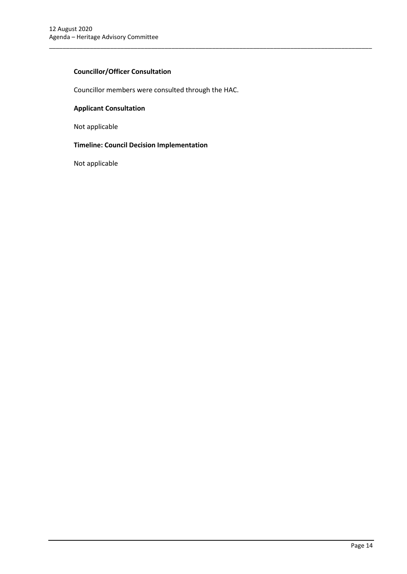# **Councillor/Officer Consultation**

Councillor members were consulted through the HAC.

\_\_\_\_\_\_\_\_\_\_\_\_\_\_\_\_\_\_\_\_\_\_\_\_\_\_\_\_\_\_\_\_\_\_\_\_\_\_\_\_\_\_\_\_\_\_\_\_\_\_\_\_\_\_\_\_\_\_\_\_\_\_\_\_\_\_\_\_\_\_\_\_\_\_\_\_\_\_\_\_\_\_\_\_\_\_\_\_\_\_\_\_\_\_\_

# **Applicant Consultation**

Not applicable

# **Timeline: Council Decision Implementation**

Not applicable